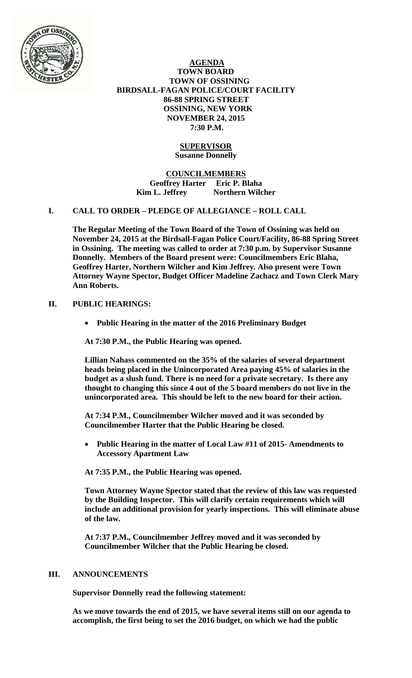

 **AGENDA TOWN BOARD TOWN OF OSSINING BIRDSALL-FAGAN POLICE/COURT FACILITY 86-88 SPRING STREET OSSINING, NEW YORK NOVEMBER 24, 2015 7:30 P.M.** 

## **SUPERVISOR Susanne Donnelly**

**COUNCILMEMBERS Geoffrey Harter Eric P. Blaha**  Kim L. Jeffrey **Northern Wilcher** 

### **I. CALL TO ORDER – PLEDGE OF ALLEGIANCE – ROLL CALL**

**The Regular Meeting of the Town Board of the Town of Ossining was held on November 24, 2015 at the Birdsall-Fagan Police Court/Facility, 86-88 Spring Street in Ossining. The meeting was called to order at 7:30 p.m. by Supervisor Susanne Donnelly. Members of the Board present were: Councilmembers Eric Blaha, Geoffrey Harter, Northern Wilcher and Kim Jeffrey. Also present were Town Attorney Wayne Spector, Budget Officer Madeline Zachacz and Town Clerk Mary Ann Roberts.** 

## **II. PUBLIC HEARINGS:**

**Public Hearing in the matter of the 2016 Preliminary Budget** 

**At 7:30 P.M., the Public Hearing was opened.** 

**Lillian Nahass commented on the 35% of the salaries of several department heads being placed in the Unincorporated Area paying 45% of salaries in the budget as a slush fund. There is no need for a private secretary. Is there any thought to changing this since 4 out of the 5 board members do not live in the unincorporated area. This should be left to the new board for their action.** 

**At 7:34 P.M., Councilmember Wilcher moved and it was seconded by Councilmember Harter that the Public Hearing be closed.**

 **Public Hearing in the matter of Local Law #11 of 2015- Amendments to Accessory Apartment Law** 

**At 7:35 P.M., the Public Hearing was opened.** 

**Town Attorney Wayne Spector stated that the review of this law was requested by the Building Inspector. This will clarify certain requirements which will include an additional provision for yearly inspections. This will eliminate abuse of the law.** 

**At 7:37 P.M., Councilmember Jeffrey moved and it was seconded by Councilmember Wilcher that the Public Hearing be closed.**

### **III. ANNOUNCEMENTS**

**Supervisor Donnelly read the following statement:** 

**As we move towards the end of 2015, we have several items still on our agenda to accomplish, the first being to set the 2016 budget, on which we had the public**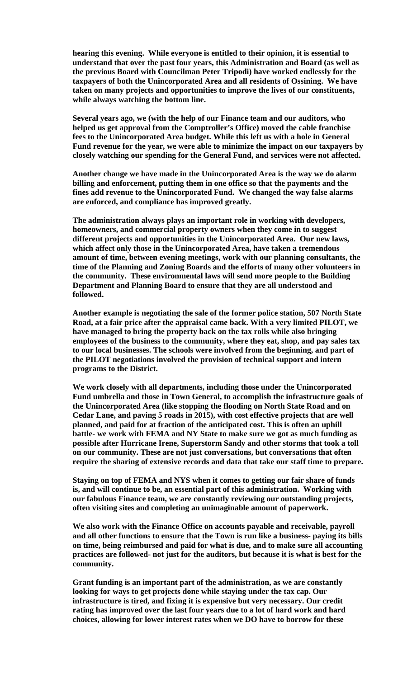**hearing this evening. While everyone is entitled to their opinion, it is essential to understand that over the past four years, this Administration and Board (as well as the previous Board with Councilman Peter Tripodi) have worked endlessly for the taxpayers of both the Unincorporated Area and all residents of Ossining. We have taken on many projects and opportunities to improve the lives of our constituents, while always watching the bottom line.** 

**Several years ago, we (with the help of our Finance team and our auditors, who helped us get approval from the Comptroller's Office) moved the cable franchise fees to the Unincorporated Area budget. While this left us with a hole in General Fund revenue for the year, we were able to minimize the impact on our taxpayers by closely watching our spending for the General Fund, and services were not affected.** 

**Another change we have made in the Unincorporated Area is the way we do alarm billing and enforcement, putting them in one office so that the payments and the fines add revenue to the Unincorporated Fund. We changed the way false alarms are enforced, and compliance has improved greatly.** 

**The administration always plays an important role in working with developers, homeowners, and commercial property owners when they come in to suggest different projects and opportunities in the Unincorporated Area. Our new laws, which affect only those in the Unincorporated Area, have taken a tremendous amount of time, between evening meetings, work with our planning consultants, the time of the Planning and Zoning Boards and the efforts of many other volunteers in the community. These environmental laws will send more people to the Building Department and Planning Board to ensure that they are all understood and followed.** 

**Another example is negotiating the sale of the former police station, 507 North State Road, at a fair price after the appraisal came back. With a very limited PILOT, we have managed to bring the property back on the tax rolls while also bringing employees of the business to the community, where they eat, shop, and pay sales tax to our local businesses. The schools were involved from the beginning, and part of the PILOT negotiations involved the provision of technical support and intern programs to the District.** 

**We work closely with all departments, including those under the Unincorporated Fund umbrella and those in Town General, to accomplish the infrastructure goals of the Unincorporated Area (like stopping the flooding on North State Road and on Cedar Lane, and paving 5 roads in 2015), with cost effective projects that are well planned, and paid for at fraction of the anticipated cost. This is often an uphill battle- we work with FEMA and NY State to make sure we got as much funding as possible after Hurricane Irene, Superstorm Sandy and other storms that took a toll on our community. These are not just conversations, but conversations that often require the sharing of extensive records and data that take our staff time to prepare.** 

**Staying on top of FEMA and NYS when it comes to getting our fair share of funds is, and will continue to be, an essential part of this administration. Working with our fabulous Finance team, we are constantly reviewing our outstanding projects, often visiting sites and completing an unimaginable amount of paperwork.** 

**We also work with the Finance Office on accounts payable and receivable, payroll and all other functions to ensure that the Town is run like a business- paying its bills on time, being reimbursed and paid for what is due, and to make sure all accounting practices are followed- not just for the auditors, but because it is what is best for the community.** 

**Grant funding is an important part of the administration, as we are constantly looking for ways to get projects done while staying under the tax cap. Our infrastructure is tired, and fixing it is expensive but very necessary. Our credit rating has improved over the last four years due to a lot of hard work and hard choices, allowing for lower interest rates when we DO have to borrow for these**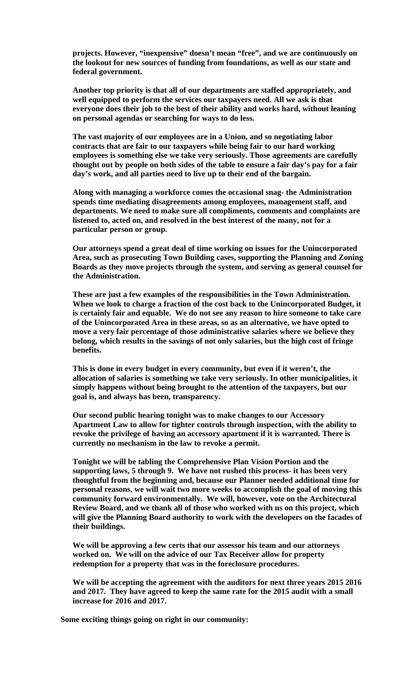**projects. However, "inexpensive" doesn't mean "free", and we are continuously on the lookout for new sources of funding from foundations, as well as our state and federal government.** 

**Another top priority is that all of our departments are staffed appropriately, and well equipped to perform the services our taxpayers need. All we ask is that everyone does their job to the best of their ability and works hard, without leaning on personal agendas or searching for ways to do less.** 

**The vast majority of our employees are in a Union, and so negotiating labor contracts that are fair to our taxpayers while being fair to our hard working employees is something else we take very seriously. Those agreements are carefully thought out by people on both sides of the table to ensure a fair day's pay for a fair day's work, and all parties need to live up to their end of the bargain.** 

**Along with managing a workforce comes the occasional snag- the Administration spends time mediating disagreements among employees, management staff, and departments. We need to make sure all compliments, comments and complaints are listened to, acted on, and resolved in the best interest of the many, not for a particular person or group.** 

**Our attorneys spend a great deal of time working on issues for the Unincorporated Area, such as prosecuting Town Building cases, supporting the Planning and Zoning Boards as they move projects through the system, and serving as general counsel for the Administration.** 

**These are just a few examples of the responsibilities in the Town Administration. When we look to charge a fraction of the cost back to the Unincorporated Budget, it is certainly fair and equable. We do not see any reason to hire someone to take care of the Unincorporated Area in these areas, so as an alternative, we have opted to move a very fair percentage of those administrative salaries where we believe they belong, which results in the savings of not only salaries, but the high cost of fringe benefits.** 

**This is done in every budget in every community, but even if it weren't, the allocation of salaries is something we take very seriously. In other municipalities, it simply happens without being brought to the attention of the taxpayers, but our goal is, and always has been, transparency.** 

**Our second public hearing tonight was to make changes to our Accessory Apartment Law to allow for tighter controls through inspection, with the ability to revoke the privilege of having an accessory apartment if it is warranted. There is currently no mechanism in the law to revoke a permit.** 

**Tonight we will be tabling the Comprehensive Plan Vision Portion and the supporting laws, 5 through 9. We have not rushed this process- it has been very thoughtful from the beginning and, because our Planner needed additional time for personal reasons, we will wait two more weeks to accomplish the goal of moving this community forward environmentally. We will, however, vote on the Architectural Review Board, and we thank all of those who worked with us on this project, which will give the Planning Board authority to work with the developers on the facades of their buildings.** 

**We will be approving a few certs that our assessor his team and our attorneys worked on. We will on the advice of our Tax Receiver allow for property redemption for a property that was in the foreclosure procedures.** 

**We will be accepting the agreement with the auditors for next three years 2015 2016 and 2017. They have agreed to keep the same rate for the 2015 audit with a small increase for 2016 and 2017.** 

**Some exciting things going on right in our community:**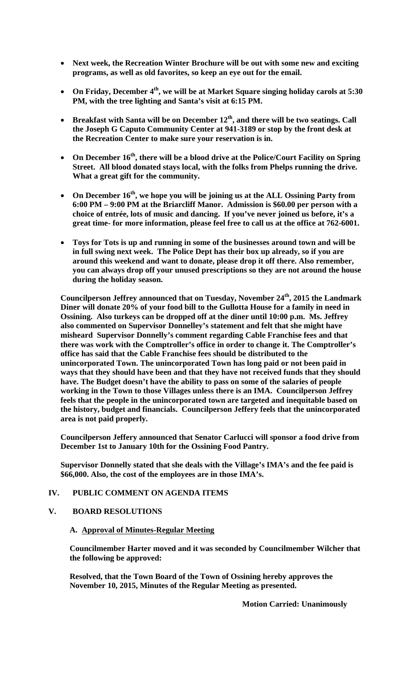- **Next week, the Recreation Winter Brochure will be out with some new and exciting programs, as well as old favorites, so keep an eye out for the email.**
- On Friday, December 4<sup>th</sup>, we will be at Market Square singing holiday carols at 5:30 **PM, with the tree lighting and Santa's visit at 6:15 PM.**
- **Breakfast with Santa will be on December 12th, and there will be two seatings. Call the Joseph G Caputo Community Center at 941-3189 or stop by the front desk at the Recreation Center to make sure your reservation is in.**
- **On December 16th, there will be a blood drive at the Police/Court Facility on Spring Street. All blood donated stays local, with the folks from Phelps running the drive. What a great gift for the community.**
- **On December 16th, we hope you will be joining us at the ALL Ossining Party from 6:00 PM – 9:00 PM at the Briarcliff Manor. Admission is \$60.00 per person with a choice of entrée, lots of music and dancing. If you've never joined us before, it's a great time- for more information, please feel free to call us at the office at 762-6001.**
- **Toys for Tots is up and running in some of the businesses around town and will be in full swing next week. The Police Dept has their box up already, so if you are around this weekend and want to donate, please drop it off there. Also remember, you can always drop off your unused prescriptions so they are not around the house during the holiday season.**

**Councilperson Jeffrey announced that on Tuesday, November 24th, 2015 the Landmark Diner will donate 20% of your food bill to the Gullotta House for a family in need in Ossining. Also turkeys can be dropped off at the diner until 10:00 p.m. Ms. Jeffrey also commented on Supervisor Donnelley's statement and felt that she might have misheard Supervisor Donnelly's comment regarding Cable Franchise fees and that there was work with the Comptroller's office in order to change it. The Comptroller's office has said that the Cable Franchise fees should be distributed to the unincorporated Town. The unincorporated Town has long paid or not been paid in ways that they should have been and that they have not received funds that they should have. The Budget doesn't have the ability to pass on some of the salaries of people working in the Town to those Villages unless there is an IMA. Councilperson Jeffrey feels that the people in the unincorporated town are targeted and inequitable based on the history, budget and financials. Councilperson Jeffery feels that the unincorporated area is not paid properly.** 

**Councilperson Jeffery announced that Senator Carlucci will sponsor a food drive from December 1st to January 10th for the Ossining Food Pantry.** 

**Supervisor Donnelly stated that she deals with the Village's IMA's and the fee paid is \$66,000. Also, the cost of the employees are in those IMA's.** 

### **IV. PUBLIC COMMENT ON AGENDA ITEMS**

## **V. BOARD RESOLUTIONS**

## **A. Approval of Minutes-Regular Meeting**

**Councilmember Harter moved and it was seconded by Councilmember Wilcher that the following be approved:** 

**Resolved, that the Town Board of the Town of Ossining hereby approves the November 10, 2015, Minutes of the Regular Meeting as presented.** 

 **Motion Carried: Unanimously**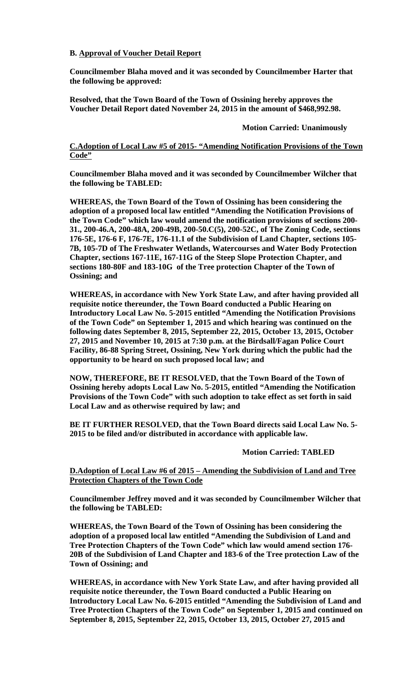## **B. Approval of Voucher Detail Report**

**Councilmember Blaha moved and it was seconded by Councilmember Harter that the following be approved:** 

**Resolved, that the Town Board of the Town of Ossining hereby approves the Voucher Detail Report dated November 24, 2015 in the amount of \$468,992.98.** 

 **Motion Carried: Unanimously** 

### **C.Adoption of Local Law #5 of 2015- "Amending Notification Provisions of the Town Code"**

**Councilmember Blaha moved and it was seconded by Councilmember Wilcher that the following be TABLED:** 

**WHEREAS, the Town Board of the Town of Ossining has been considering the adoption of a proposed local law entitled "Amending the Notification Provisions of the Town Code" which law would amend the notification provisions of sections 200- 31., 200-46.A, 200-48A, 200-49B, 200-50.C(5), 200-52C, of The Zoning Code, sections 176-5E, 176-6 F, 176-7E, 176-11.1 of the Subdivision of Land Chapter, sections 105- 7B, 105-7D of The Freshwater Wetlands, Watercourses and Water Body Protection Chapter, sections 167-11E, 167-11G of the Steep Slope Protection Chapter, and sections 180-80F and 183-10G of the Tree protection Chapter of the Town of Ossining; and** 

**WHEREAS, in accordance with New York State Law, and after having provided all requisite notice thereunder, the Town Board conducted a Public Hearing on Introductory Local Law No. 5-2015 entitled "Amending the Notification Provisions of the Town Code" on September 1, 2015 and which hearing was continued on the following dates September 8, 2015, September 22, 2015, October 13, 2015, October 27, 2015 and November 10, 2015 at 7:30 p.m. at the Birdsall/Fagan Police Court Facility, 86-88 Spring Street, Ossining, New York during which the public had the opportunity to be heard on such proposed local law; and** 

**NOW, THEREFORE, BE IT RESOLVED, that the Town Board of the Town of Ossining hereby adopts Local Law No. 5-2015, entitled "Amending the Notification Provisions of the Town Code" with such adoption to take effect as set forth in said Local Law and as otherwise required by law; and** 

**BE IT FURTHER RESOLVED, that the Town Board directs said Local Law No. 5- 2015 to be filed and/or distributed in accordance with applicable law.** 

### **Motion Carried: TABLED**

### **D.Adoption of Local Law #6 of 2015 – Amending the Subdivision of Land and Tree Protection Chapters of the Town Code**

**Councilmember Jeffrey moved and it was seconded by Councilmember Wilcher that the following be TABLED:** 

**WHEREAS, the Town Board of the Town of Ossining has been considering the adoption of a proposed local law entitled "Amending the Subdivision of Land and Tree Protection Chapters of the Town Code" which law would amend section 176- 20B of the Subdivision of Land Chapter and 183-6 of the Tree protection Law of the Town of Ossining; and** 

**WHEREAS, in accordance with New York State Law, and after having provided all requisite notice thereunder, the Town Board conducted a Public Hearing on Introductory Local Law No. 6-2015 entitled "Amending the Subdivision of Land and Tree Protection Chapters of the Town Code" on September 1, 2015 and continued on September 8, 2015, September 22, 2015, October 13, 2015, October 27, 2015 and**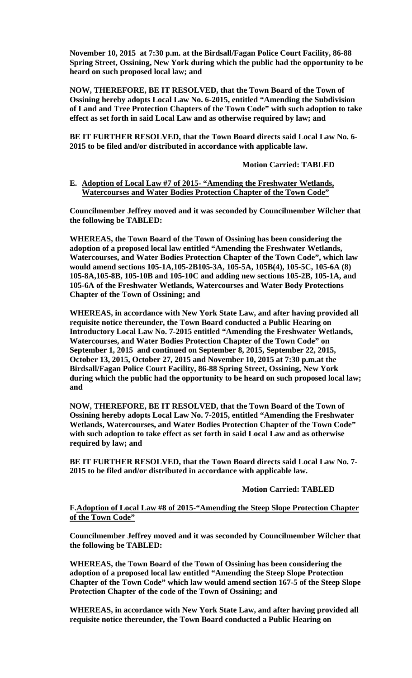**November 10, 2015 at 7:30 p.m. at the Birdsall/Fagan Police Court Facility, 86-88 Spring Street, Ossining, New York during which the public had the opportunity to be heard on such proposed local law; and** 

**NOW, THEREFORE, BE IT RESOLVED, that the Town Board of the Town of Ossining hereby adopts Local Law No. 6-2015, entitled "Amending the Subdivision of Land and Tree Protection Chapters of the Town Code" with such adoption to take effect as set forth in said Local Law and as otherwise required by law; and** 

**BE IT FURTHER RESOLVED, that the Town Board directs said Local Law No. 6- 2015 to be filed and/or distributed in accordance with applicable law.** 

 **Motion Carried: TABLED** 

### **E. Adoption of Local Law #7 of 2015- "Amending the Freshwater Wetlands, Watercourses and Water Bodies Protection Chapter of the Town Code"**

**Councilmember Jeffrey moved and it was seconded by Councilmember Wilcher that the following be TABLED:** 

**WHEREAS, the Town Board of the Town of Ossining has been considering the adoption of a proposed local law entitled "Amending the Freshwater Wetlands, Watercourses, and Water Bodies Protection Chapter of the Town Code", which law would amend sections 105-1A,105-2B105-3A, 105-5A, 105B(4), 105-5C, 105-6A (8) 105-8A,105-8B, 105-10B and 105-10C and adding new sections 105-2B, 105-1A, and 105-6A of the Freshwater Wetlands, Watercourses and Water Body Protections Chapter of the Town of Ossining; and** 

**WHEREAS, in accordance with New York State Law, and after having provided all requisite notice thereunder, the Town Board conducted a Public Hearing on Introductory Local Law No. 7-2015 entitled "Amending the Freshwater Wetlands, Watercourses, and Water Bodies Protection Chapter of the Town Code" on September 1, 2015 and continued on September 8, 2015, September 22, 2015, October 13, 2015, October 27, 2015 and November 10, 2015 at 7:30 p.m.at the Birdsall/Fagan Police Court Facility, 86-88 Spring Street, Ossining, New York during which the public had the opportunity to be heard on such proposed local law; and** 

**NOW, THEREFORE, BE IT RESOLVED, that the Town Board of the Town of Ossining hereby adopts Local Law No. 7-2015, entitled "Amending the Freshwater Wetlands, Watercourses, and Water Bodies Protection Chapter of the Town Code" with such adoption to take effect as set forth in said Local Law and as otherwise required by law; and** 

**BE IT FURTHER RESOLVED, that the Town Board directs said Local Law No. 7- 2015 to be filed and/or distributed in accordance with applicable law.** 

### **Motion Carried: TABLED**

### **F.Adoption of Local Law #8 of 2015-"Amending the Steep Slope Protection Chapter of the Town Code"**

**Councilmember Jeffrey moved and it was seconded by Councilmember Wilcher that the following be TABLED:** 

**WHEREAS, the Town Board of the Town of Ossining has been considering the adoption of a proposed local law entitled "Amending the Steep Slope Protection Chapter of the Town Code" which law would amend section 167-5 of the Steep Slope Protection Chapter of the code of the Town of Ossining; and** 

**WHEREAS, in accordance with New York State Law, and after having provided all requisite notice thereunder, the Town Board conducted a Public Hearing on**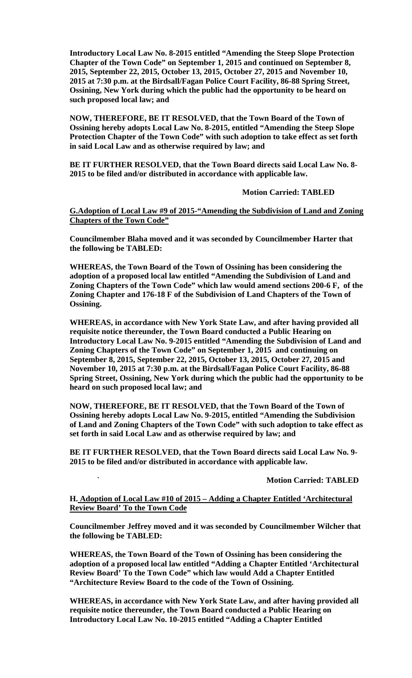**Introductory Local Law No. 8-2015 entitled "Amending the Steep Slope Protection Chapter of the Town Code" on September 1, 2015 and continued on September 8, 2015, September 22, 2015, October 13, 2015, October 27, 2015 and November 10, 2015 at 7:30 p.m. at the Birdsall/Fagan Police Court Facility, 86-88 Spring Street, Ossining, New York during which the public had the opportunity to be heard on such proposed local law; and** 

**NOW, THEREFORE, BE IT RESOLVED, that the Town Board of the Town of Ossining hereby adopts Local Law No. 8-2015, entitled "Amending the Steep Slope Protection Chapter of the Town Code" with such adoption to take effect as set forth in said Local Law and as otherwise required by law; and** 

**BE IT FURTHER RESOLVED, that the Town Board directs said Local Law No. 8- 2015 to be filed and/or distributed in accordance with applicable law.** 

 **Motion Carried: TABLED** 

**G.Adoption of Local Law #9 of 2015-"Amending the Subdivision of Land and Zoning Chapters of the Town Code"**

**Councilmember Blaha moved and it was seconded by Councilmember Harter that the following be TABLED:** 

**WHEREAS, the Town Board of the Town of Ossining has been considering the adoption of a proposed local law entitled "Amending the Subdivision of Land and Zoning Chapters of the Town Code" which law would amend sections 200-6 F, of the Zoning Chapter and 176-18 F of the Subdivision of Land Chapters of the Town of Ossining.** 

**WHEREAS, in accordance with New York State Law, and after having provided all requisite notice thereunder, the Town Board conducted a Public Hearing on Introductory Local Law No. 9-2015 entitled "Amending the Subdivision of Land and Zoning Chapters of the Town Code" on September 1, 2015 and continuing on September 8, 2015, September 22, 2015, October 13, 2015, October 27, 2015 and November 10, 2015 at 7:30 p.m. at the Birdsall/Fagan Police Court Facility, 86-88 Spring Street, Ossining, New York during which the public had the opportunity to be heard on such proposed local law; and** 

**NOW, THEREFORE, BE IT RESOLVED, that the Town Board of the Town of Ossining hereby adopts Local Law No. 9-2015, entitled "Amending the Subdivision of Land and Zoning Chapters of the Town Code" with such adoption to take effect as set forth in said Local Law and as otherwise required by law; and** 

**BE IT FURTHER RESOLVED, that the Town Board directs said Local Law No. 9- 2015 to be filed and/or distributed in accordance with applicable law.** 

#### **Motion Carried: TABLED**

### **H. Adoption of Local Law #10 of 2015 – Adding a Chapter Entitled 'Architectural Review Board' To the Town Code**

**Councilmember Jeffrey moved and it was seconded by Councilmember Wilcher that the following be TABLED:** 

**WHEREAS, the Town Board of the Town of Ossining has been considering the adoption of a proposed local law entitled "Adding a Chapter Entitled 'Architectural Review Board' To the Town Code" which law would Add a Chapter Entitled "Architecture Review Board to the code of the Town of Ossining.** 

**WHEREAS, in accordance with New York State Law, and after having provided all requisite notice thereunder, the Town Board conducted a Public Hearing on Introductory Local Law No. 10-2015 entitled "Adding a Chapter Entitled**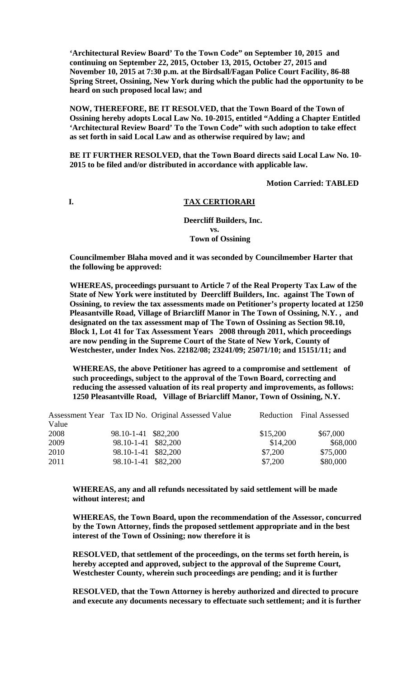**'Architectural Review Board' To the Town Code" on September 10, 2015 and continuing on September 22, 2015, October 13, 2015, October 27, 2015 and November 10, 2015 at 7:30 p.m. at the Birdsall/Fagan Police Court Facility, 86-88 Spring Street, Ossining, New York during which the public had the opportunity to be heard on such proposed local law; and** 

**NOW, THEREFORE, BE IT RESOLVED, that the Town Board of the Town of Ossining hereby adopts Local Law No. 10-2015, entitled "Adding a Chapter Entitled 'Architectural Review Board' To the Town Code" with such adoption to take effect as set forth in said Local Law and as otherwise required by law; and** 

**BE IT FURTHER RESOLVED, that the Town Board directs said Local Law No. 10- 2015 to be filed and/or distributed in accordance with applicable law.** 

 **Motion Carried: TABLED** 

#### **I. TAX CERTIORARI**

### **Deercliff Builders, Inc. vs. Town of Ossining**

**Councilmember Blaha moved and it was seconded by Councilmember Harter that the following be approved:** 

**WHEREAS, proceedings pursuant to Article 7 of the Real Property Tax Law of the State of New York were instituted by Deercliff Builders, Inc. against The Town of Ossining, to review the tax assessments made on Petitioner's property located at 1250 Pleasantville Road, Village of Briarcliff Manor in The Town of Ossining, N.Y. , and designated on the tax assessment map of The Town of Ossining as Section 98.10, Block 1, Lot 41 for Tax Assessment Years 2008 through 2011, which proceedings are now pending in the Supreme Court of the State of New York, County of Westchester, under Index Nos. 22182/08; 23241/09; 25071/10; and 15151/11; and** 

**WHEREAS, the above Petitioner has agreed to a compromise and settlement of such proceedings, subject to the approval of the Town Board, correcting and reducing the assessed valuation of its real property and improvements, as follows: 1250 Pleasantville Road, Village of Briarcliff Manor, Town of Ossining, N.Y.** 

|       |                     | Assessment Year Tax ID No. Original Assessed Value |          | Reduction Final Assessed |
|-------|---------------------|----------------------------------------------------|----------|--------------------------|
| Value |                     |                                                    |          |                          |
| 2008  | 98.10-1-41 \$82,200 |                                                    | \$15,200 | \$67,000                 |
| 2009  | 98.10-1-41 \$82,200 |                                                    | \$14,200 | \$68,000                 |
| 2010  | 98.10-1-41 \$82,200 |                                                    | \$7,200  | \$75,000                 |
| 2011  | 98.10-1-41 \$82,200 |                                                    | \$7,200  | \$80,000                 |

**WHEREAS, any and all refunds necessitated by said settlement will be made without interest; and** 

**WHEREAS, the Town Board, upon the recommendation of the Assessor, concurred by the Town Attorney, finds the proposed settlement appropriate and in the best interest of the Town of Ossining; now therefore it is** 

**RESOLVED, that settlement of the proceedings, on the terms set forth herein, is hereby accepted and approved, subject to the approval of the Supreme Court, Westchester County, wherein such proceedings are pending; and it is further** 

**RESOLVED, that the Town Attorney is hereby authorized and directed to procure and execute any documents necessary to effectuate such settlement; and it is further**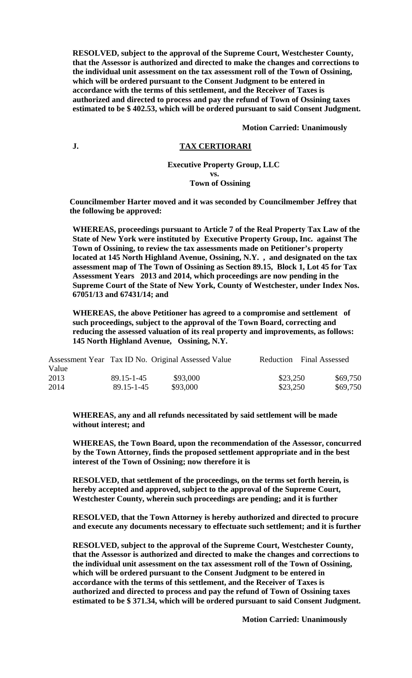**RESOLVED, subject to the approval of the Supreme Court, Westchester County, that the Assessor is authorized and directed to make the changes and corrections to the individual unit assessment on the tax assessment roll of the Town of Ossining, which will be ordered pursuant to the Consent Judgment to be entered in accordance with the terms of this settlement, and the Receiver of Taxes is authorized and directed to process and pay the refund of Town of Ossining taxes estimated to be \$ 402.53, which will be ordered pursuant to said Consent Judgment.** 

 **Motion Carried: Unanimously** 

#### **J. TAX CERTIORARI**

#### **Executive Property Group, LLC vs. Town of Ossining**

**Councilmember Harter moved and it was seconded by Councilmember Jeffrey that the following be approved:** 

**WHEREAS, proceedings pursuant to Article 7 of the Real Property Tax Law of the State of New York were instituted by Executive Property Group, Inc. against The Town of Ossining, to review the tax assessments made on Petitioner's property located at 145 North Highland Avenue, Ossining, N.Y. , and designated on the tax assessment map of The Town of Ossining as Section 89.15, Block 1, Lot 45 for Tax Assessment Years 2013 and 2014, which proceedings are now pending in the Supreme Court of the State of New York, County of Westchester, under Index Nos. 67051/13 and 67431/14; and** 

**WHEREAS, the above Petitioner has agreed to a compromise and settlement of such proceedings, subject to the approval of the Town Board, correcting and reducing the assessed valuation of its real property and improvements, as follows: 145 North Highland Avenue, Ossining, N.Y.** 

|       |            | Assessment Year Tax ID No. Original Assessed Value |          | Reduction Final Assessed |
|-------|------------|----------------------------------------------------|----------|--------------------------|
| Value |            |                                                    |          |                          |
| 2013  | 89.15-1-45 | \$93,000                                           | \$23,250 | \$69,750                 |
| 2014  | 89.15-1-45 | \$93,000                                           | \$23,250 | \$69,750                 |

**WHEREAS, any and all refunds necessitated by said settlement will be made without interest; and** 

**WHEREAS, the Town Board, upon the recommendation of the Assessor, concurred by the Town Attorney, finds the proposed settlement appropriate and in the best interest of the Town of Ossining; now therefore it is** 

**RESOLVED, that settlement of the proceedings, on the terms set forth herein, is hereby accepted and approved, subject to the approval of the Supreme Court, Westchester County, wherein such proceedings are pending; and it is further** 

**RESOLVED, that the Town Attorney is hereby authorized and directed to procure and execute any documents necessary to effectuate such settlement; and it is further** 

**RESOLVED, subject to the approval of the Supreme Court, Westchester County, that the Assessor is authorized and directed to make the changes and corrections to the individual unit assessment on the tax assessment roll of the Town of Ossining, which will be ordered pursuant to the Consent Judgment to be entered in accordance with the terms of this settlement, and the Receiver of Taxes is authorized and directed to process and pay the refund of Town of Ossining taxes estimated to be \$ 371.34, which will be ordered pursuant to said Consent Judgment.** 

 **Motion Carried: Unanimously**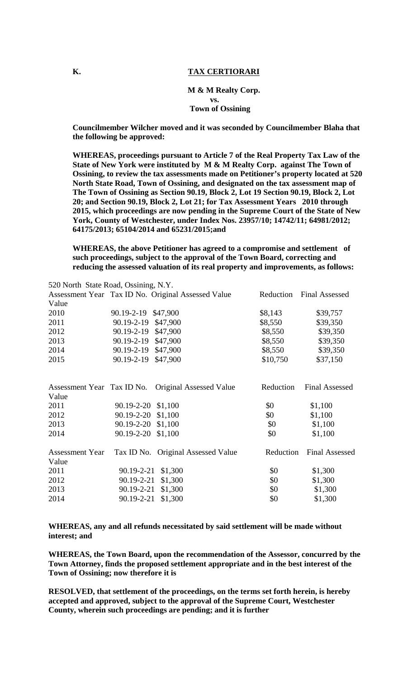#### **K.** TAX CERTIORARI

#### **M & M Realty Corp. vs.**

#### **Town of Ossining**

**Councilmember Wilcher moved and it was seconded by Councilmember Blaha that the following be approved:** 

**WHEREAS, proceedings pursuant to Article 7 of the Real Property Tax Law of the State of New York were instituted by M & M Realty Corp. against The Town of Ossining, to review the tax assessments made on Petitioner's property located at 520 North State Road, Town of Ossining, and designated on the tax assessment map of The Town of Ossining as Section 90.19, Block 2, Lot 19 Section 90.19, Block 2, Lot 20; and Section 90.19, Block 2, Lot 21; for Tax Assessment Years 2010 through 2015, which proceedings are now pending in the Supreme Court of the State of New York, County of Westchester, under Index Nos. 23957/10; 14742/11; 64981/2012; 64175/2013; 65104/2014 and 65231/2015;and** 

**WHEREAS, the above Petitioner has agreed to a compromise and settlement of such proceedings, subject to the approval of the Town Board, correcting and reducing the assessed valuation of its real property and improvements, as follows:** 

| 520 North State Road, Ossining, N.Y. |                  |                                                    |           |                       |
|--------------------------------------|------------------|----------------------------------------------------|-----------|-----------------------|
|                                      |                  | Assessment Year Tax ID No. Original Assessed Value | Reduction | <b>Final Assessed</b> |
| Value                                |                  |                                                    |           |                       |
| 2010                                 | 90.19-2-19       | \$47,900                                           | \$8,143   | \$39,757              |
| 2011                                 | 90.19-2-19       | \$47,900                                           | \$8,550   | \$39,350              |
| 2012                                 | 90.19-2-19       | \$47,900                                           | \$8,550   | \$39,350              |
| 2013                                 | $90.19 - 2 - 19$ | \$47,900                                           | \$8,550   | \$39,350              |
| 2014                                 | 90.19-2-19       | \$47,900                                           | \$8,550   | \$39,350              |
| 2015                                 | 90.19-2-19       | \$47,900                                           | \$10,750  | \$37,150              |
| Assessment Year Tax ID No.           |                  | Original Assessed Value                            | Reduction | <b>Final Assessed</b> |
| Value                                |                  |                                                    |           |                       |
| 2011                                 | 90.19-2-20       | \$1,100                                            | \$0       | \$1,100               |
| 2012                                 | 90.19-2-20       | \$1,100                                            | \$0       | \$1,100               |
| 2013                                 | 90.19-2-20       | \$1,100                                            | \$0       | \$1,100               |
| 2014                                 | 90.19-2-20       | \$1,100                                            | \$0       | \$1,100               |
| <b>Assessment Year</b>               |                  | Tax ID No. Original Assessed Value                 | Reduction | <b>Final Assessed</b> |
| Value                                |                  |                                                    |           |                       |
| 2011                                 | 90.19-2-21       | \$1,300                                            | \$0       | \$1,300               |
| 2012                                 | 90.19-2-21       | \$1,300                                            | \$0       | \$1,300               |
| 2013                                 | 90.19-2-21       | \$1,300                                            | \$0       | \$1,300               |
| 2014                                 | 90.19-2-21       | \$1,300                                            | \$0       | \$1,300               |

**WHEREAS, any and all refunds necessitated by said settlement will be made without interest; and** 

**WHEREAS, the Town Board, upon the recommendation of the Assessor, concurred by the Town Attorney, finds the proposed settlement appropriate and in the best interest of the Town of Ossining; now therefore it is** 

**RESOLVED, that settlement of the proceedings, on the terms set forth herein, is hereby accepted and approved, subject to the approval of the Supreme Court, Westchester County, wherein such proceedings are pending; and it is further**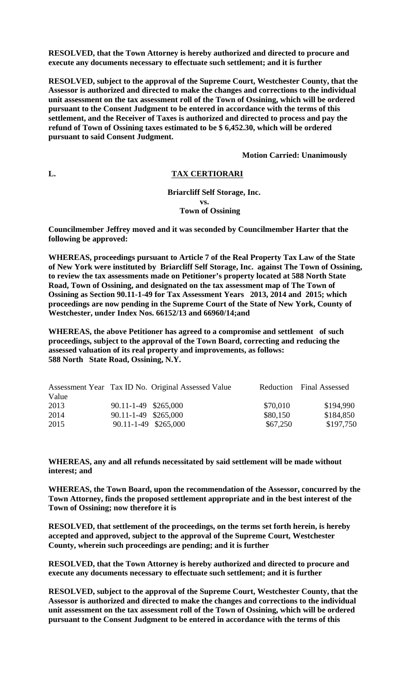**RESOLVED, that the Town Attorney is hereby authorized and directed to procure and execute any documents necessary to effectuate such settlement; and it is further** 

**RESOLVED, subject to the approval of the Supreme Court, Westchester County, that the Assessor is authorized and directed to make the changes and corrections to the individual unit assessment on the tax assessment roll of the Town of Ossining, which will be ordered pursuant to the Consent Judgment to be entered in accordance with the terms of this settlement, and the Receiver of Taxes is authorized and directed to process and pay the refund of Town of Ossining taxes estimated to be \$ 6,452.30, which will be ordered pursuant to said Consent Judgment.** 

 **Motion Carried: Unanimously** 

#### **L. TAX CERTIORARI**

 **Briarcliff Self Storage, Inc. vs. Town of Ossining** 

**Councilmember Jeffrey moved and it was seconded by Councilmember Harter that the following be approved:** 

**WHEREAS, proceedings pursuant to Article 7 of the Real Property Tax Law of the State of New York were instituted by Briarcliff Self Storage, Inc. against The Town of Ossining, to review the tax assessments made on Petitioner's property located at 588 North State Road, Town of Ossining, and designated on the tax assessment map of The Town of Ossining as Section 90.11-1-49 for Tax Assessment Years 2013, 2014 and 2015; which proceedings are now pending in the Supreme Court of the State of New York, County of Westchester, under Index Nos. 66152/13 and 66960/14;and** 

**WHEREAS, the above Petitioner has agreed to a compromise and settlement of such proceedings, subject to the approval of the Town Board, correcting and reducing the assessed valuation of its real property and improvements, as follows: 588 North State Road, Ossining, N.Y.** 

|       |                      | Assessment Year Tax ID No. Original Assessed Value |          | Reduction Final Assessed |
|-------|----------------------|----------------------------------------------------|----------|--------------------------|
| Value |                      |                                                    |          |                          |
| 2013  | 90.11-1-49 \$265,000 |                                                    | \$70,010 | \$194,990                |
| 2014  | 90.11-1-49 \$265,000 |                                                    | \$80,150 | \$184,850                |
| 2015  | 90.11-1-49 \$265,000 |                                                    | \$67,250 | \$197,750                |

**WHEREAS, any and all refunds necessitated by said settlement will be made without interest; and** 

**WHEREAS, the Town Board, upon the recommendation of the Assessor, concurred by the Town Attorney, finds the proposed settlement appropriate and in the best interest of the Town of Ossining; now therefore it is** 

**RESOLVED, that settlement of the proceedings, on the terms set forth herein, is hereby accepted and approved, subject to the approval of the Supreme Court, Westchester County, wherein such proceedings are pending; and it is further** 

**RESOLVED, that the Town Attorney is hereby authorized and directed to procure and execute any documents necessary to effectuate such settlement; and it is further** 

**RESOLVED, subject to the approval of the Supreme Court, Westchester County, that the Assessor is authorized and directed to make the changes and corrections to the individual unit assessment on the tax assessment roll of the Town of Ossining, which will be ordered pursuant to the Consent Judgment to be entered in accordance with the terms of this**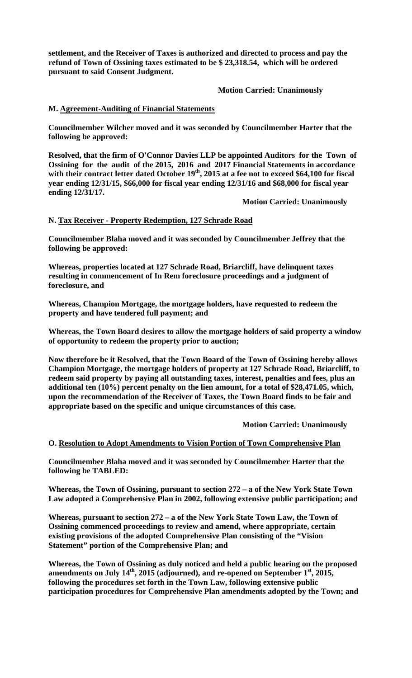**settlement, and the Receiver of Taxes is authorized and directed to process and pay the refund of Town of Ossining taxes estimated to be \$ 23,318.54, which will be ordered pursuant to said Consent Judgment.** 

 **Motion Carried: Unanimously** 

### **M. Agreement-Auditing of Financial Statements**

**Councilmember Wilcher moved and it was seconded by Councilmember Harter that the following be approved:** 

**Resolved, that the firm of O'Connor Davies LLP be appointed Auditors for the Town of Ossining for the audit of the 2015, 2016 and 2017 Financial Statements in accordance**  with their contract letter dated October 19<sup>th</sup>, 2015 at a fee not to exceed \$64,100 for fiscal **year ending 12/31/15, \$66,000 for fiscal year ending 12/31/16 and \$68,000 for fiscal year ending 12/31/17.** 

 **Motion Carried: Unanimously** 

## **N. Tax Receiver - Property Redemption, 127 Schrade Road**

**Councilmember Blaha moved and it was seconded by Councilmember Jeffrey that the following be approved:** 

**Whereas, properties located at 127 Schrade Road, Briarcliff, have delinquent taxes resulting in commencement of In Rem foreclosure proceedings and a judgment of foreclosure, and** 

**Whereas, Champion Mortgage, the mortgage holders, have requested to redeem the property and have tendered full payment; and** 

**Whereas, the Town Board desires to allow the mortgage holders of said property a window of opportunity to redeem the property prior to auction;** 

**Now therefore be it Resolved, that the Town Board of the Town of Ossining hereby allows Champion Mortgage, the mortgage holders of property at 127 Schrade Road, Briarcliff, to redeem said property by paying all outstanding taxes, interest, penalties and fees, plus an additional ten (10%) percent penalty on the lien amount, for a total of \$28,471.05, which, upon the recommendation of the Receiver of Taxes, the Town Board finds to be fair and appropriate based on the specific and unique circumstances of this case.** 

 **Motion Carried: Unanimously** 

#### **O. Resolution to Adopt Amendments to Vision Portion of Town Comprehensive Plan**

**Councilmember Blaha moved and it was seconded by Councilmember Harter that the following be TABLED:** 

**Whereas, the Town of Ossining, pursuant to section 272 – a of the New York State Town Law adopted a Comprehensive Plan in 2002, following extensive public participation; and** 

**Whereas, pursuant to section 272 – a of the New York State Town Law, the Town of Ossining commenced proceedings to review and amend, where appropriate, certain existing provisions of the adopted Comprehensive Plan consisting of the "Vision Statement" portion of the Comprehensive Plan; and** 

**Whereas, the Town of Ossining as duly noticed and held a public hearing on the proposed amendments on July 14th, 2015 (adjourned), and re-opened on September 1st, 2015, following the procedures set forth in the Town Law, following extensive public participation procedures for Comprehensive Plan amendments adopted by the Town; and**